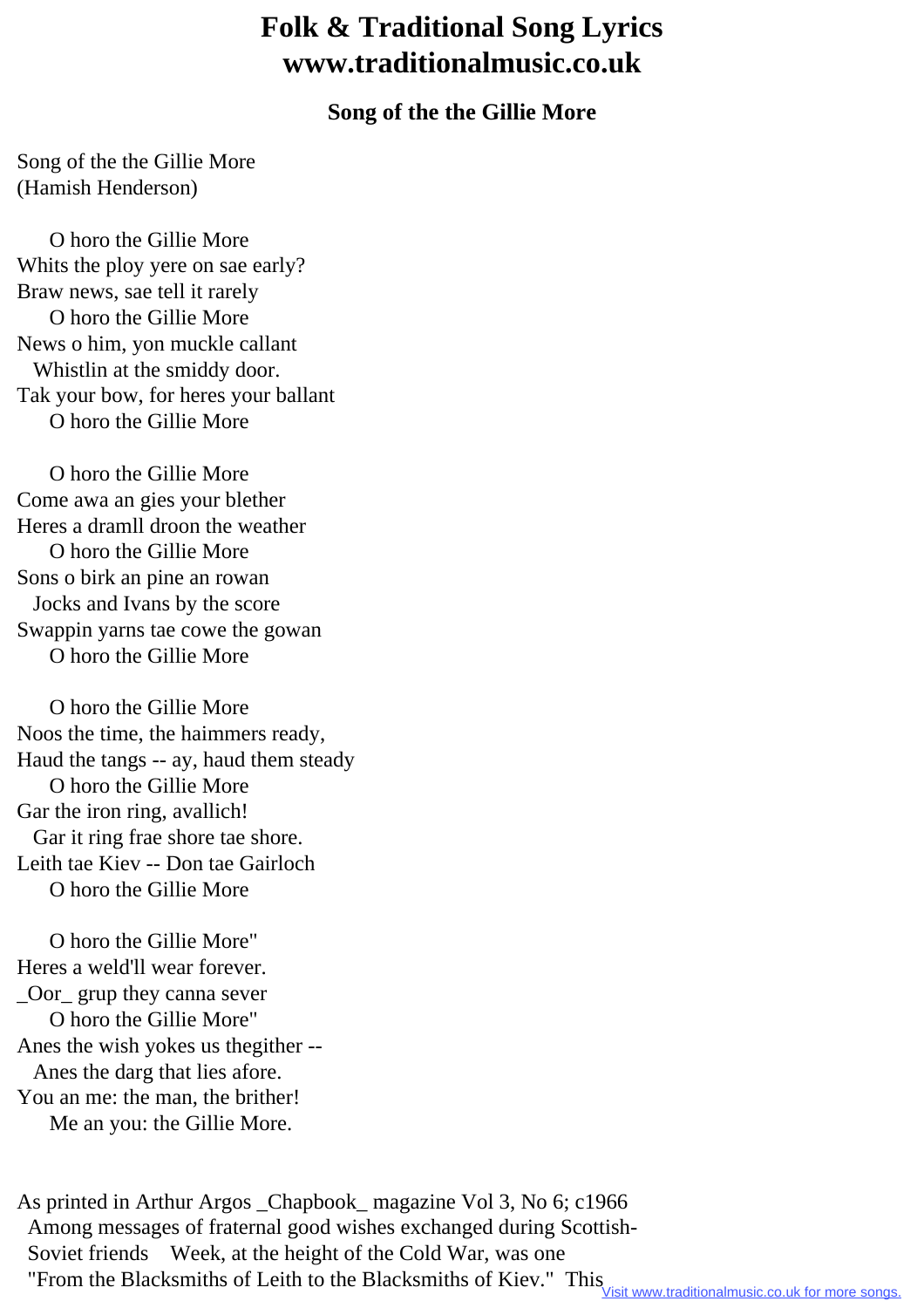## **Folk & Traditional Song Lyrics www.traditionalmusic.co.uk**

## **Song of the the Gillie More**

Song of the the Gillie More (Hamish Henderson)

 O horo the Gillie More Whits the ploy yere on sae early? Braw news, sae tell it rarely O horo the Gillie More News o him, yon muckle callant Whistlin at the smiddy door. Tak your bow, for heres your ballant O horo the Gillie More

 O horo the Gillie More Come awa an gies your blether Heres a dramll droon the weather O horo the Gillie More Sons o birk an pine an rowan Jocks and Ivans by the score Swappin yarns tae cowe the gowan O horo the Gillie More

 O horo the Gillie More Noos the time, the haimmers ready, Haud the tangs -- ay, haud them steady O horo the Gillie More Gar the iron ring, avallich! Gar it ring frae shore tae shore. Leith tae Kiev -- Don tae Gairloch O horo the Gillie More

 O horo the Gillie More" Heres a weld'll wear forever. \_Oor\_ grup they canna sever O horo the Gillie More" Anes the wish yokes us thegither -- Anes the darg that lies afore. You an me: the man, the brither! Me an you: the Gillie More.

As printed in Arthur Argos \_Chapbook\_ magazine Vol 3, No 6; c1966 Among messages of fraternal good wishes exchanged during Scottish- Soviet friends Week, at the height of the Cold War, was one "From the Blacksmiths of Leith to the Blacksmiths of Kiev." This<br>Visit www.traditionalmusic.co.uk for more songs.